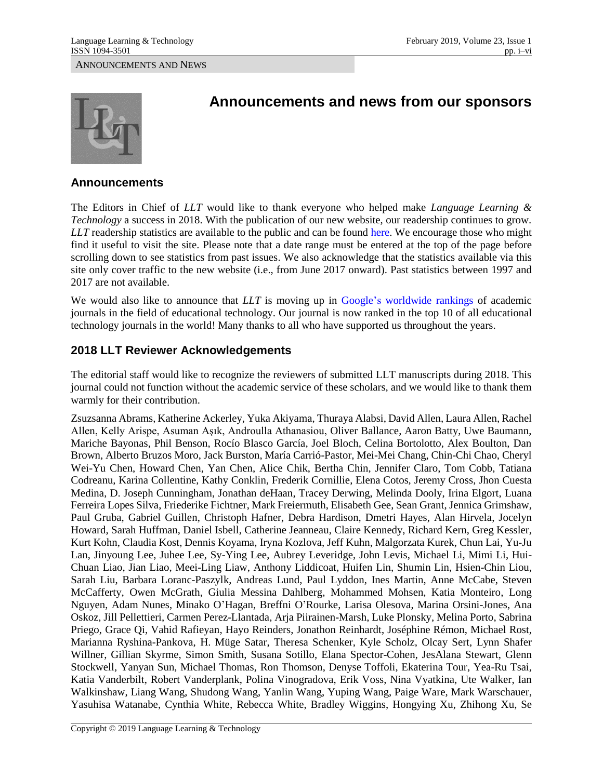ANNOUNCEMENTS AND NEWS



# **Announcements and news from our sponsors**

#### **Announcements**

The Editors in Chief of *LLT* would like to thank everyone who helped make *Language Learning & Technology* a success in 2018. With the publication of our new website, our readership continues to grow. *LLT* readership statistics are available to the public and can be found [here.](https://scholarspace.manoa.hawaii.edu/statistics/handle/10125/27123) We encourage those who might find it useful to visit the site. Please note that a date range must be entered at the top of the page before scrolling down to see statistics from past issues. We also acknowledge that the statistics available via this site only cover traffic to the new website (i.e., from June 2017 onward). Past statistics between 1997 and 2017 are not available.

We would also like to announce that *LLT* is moving up in [Google's worldwide rankings](https://scholar.google.com/citations?view_op=top_venues&hl=en&vq=soc_educationaltechnology) of academic journals in the field of educational technology. Our journal is now ranked in the top 10 of all educational technology journals in the world! Many thanks to all who have supported us throughout the years.

## **2018 LLT Reviewer Acknowledgements**

The editorial staff would like to recognize the reviewers of submitted LLT manuscripts during 2018. This journal could not function without the academic service of these scholars, and we would like to thank them warmly for their contribution.

Zsuzsanna Abrams, Katherine Ackerley, Yuka Akiyama, Thuraya Alabsi, David Allen, Laura Allen, Rachel Allen, Kelly Arispe, Asuman Aşık, Androulla Athanasiou, Oliver Ballance, Aaron Batty, Uwe Baumann, Mariche Bayonas, Phil Benson, Rocío Blasco García, Joel Bloch, Celina Bortolotto, Alex Boulton, Dan Brown, Alberto Bruzos Moro, Jack Burston, María Carrió-Pastor, Mei-Mei Chang, Chin-Chi Chao, Cheryl Wei-Yu Chen, Howard Chen, Yan Chen, Alice Chik, Bertha Chin, Jennifer Claro, Tom Cobb, Tatiana Codreanu, Karina Collentine, Kathy Conklin, Frederik Cornillie, Elena Cotos, Jeremy Cross, Jhon Cuesta Medina, D. Joseph Cunningham, Jonathan deHaan, Tracey Derwing, Melinda Dooly, Irina Elgort, Luana Ferreira Lopes Silva, Friederike Fichtner, Mark Freiermuth, Elisabeth Gee, Sean Grant, Jennica Grimshaw, Paul Gruba, Gabriel Guillen, Christoph Hafner, Debra Hardison, Dmetri Hayes, Alan Hirvela, Jocelyn Howard, Sarah Huffman, Daniel Isbell, Catherine Jeanneau, Claire Kennedy, Richard Kern, Greg Kessler, Kurt Kohn, Claudia Kost, Dennis Koyama, Iryna Kozlova, Jeff Kuhn, Malgorzata Kurek, Chun Lai, Yu-Ju Lan, Jinyoung Lee, Juhee Lee, Sy-Ying Lee, Aubrey Leveridge, John Levis, Michael Li, Mimi Li, Hui-Chuan Liao, Jian Liao, Meei-Ling Liaw, Anthony Liddicoat, Huifen Lin, Shumin Lin, Hsien-Chin Liou, Sarah Liu, Barbara Loranc-Paszylk, Andreas Lund, Paul Lyddon, Ines Martin, Anne McCabe, Steven McCafferty, Owen McGrath, Giulia Messina Dahlberg, Mohammed Mohsen, Katia Monteiro, Long Nguyen, Adam Nunes, Minako O'Hagan, Breffni O'Rourke, Larisa Olesova, Marina Orsini-Jones, Ana Oskoz, Jill Pellettieri, Carmen Perez-Llantada, Arja Piirainen-Marsh, Luke Plonsky, Melina Porto, Sabrina Priego, Grace Qi, Vahid Rafieyan, Hayo Reinders, Jonathon Reinhardt, Joséphine Rémon, Michael Rost, Marianna Ryshina-Pankova, H. Müge Satar, Theresa Schenker, Kyle Scholz, Olcay Sert, Lynn Shafer Willner, Gillian Skyrme, Simon Smith, Susana Sotillo, Elana Spector-Cohen, JesAlana Stewart, Glenn Stockwell, Yanyan Sun, Michael Thomas, Ron Thomson, Denyse Toffoli, Ekaterina Tour, Yea-Ru Tsai, Katia Vanderbilt, Robert Vanderplank, Polina Vinogradova, Erik Voss, Nina Vyatkina, Ute Walker, Ian Walkinshaw, Liang Wang, Shudong Wang, Yanlin Wang, Yuping Wang, Paige Ware, Mark Warschauer, Yasuhisa Watanabe, Cynthia White, Rebecca White, Bradley Wiggins, Hongying Xu, Zhihong Xu, Se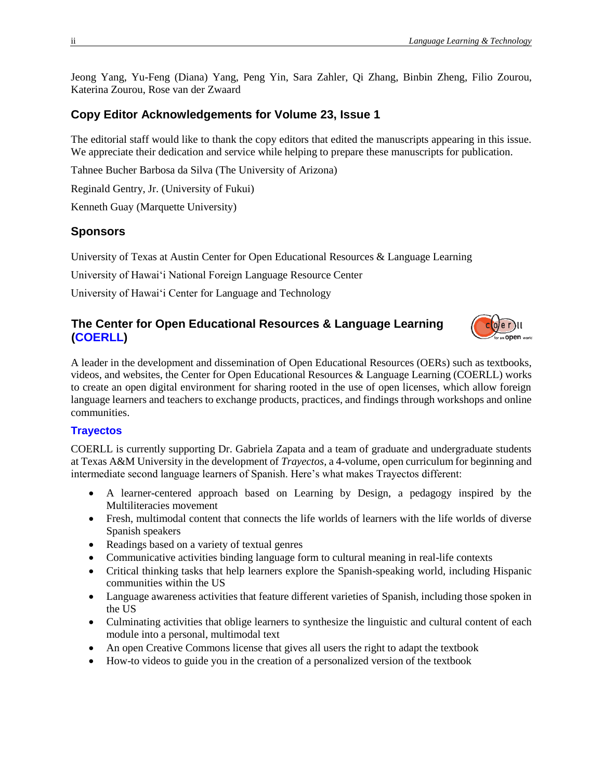Jeong Yang, Yu-Feng (Diana) Yang, Peng Yin, Sara Zahler, Qi Zhang, Binbin Zheng, Filio Zourou, Katerina Zourou, Rose van der Zwaard

## **Copy Editor Acknowledgements for Volume 23, Issue 1**

The editorial staff would like to thank the copy editors that edited the manuscripts appearing in this issue. We appreciate their dedication and service while helping to prepare these manuscripts for publication.

Tahnee Bucher Barbosa da Silva (The University of Arizona)

Reginald Gentry, Jr. (University of Fukui)

Kenneth Guay (Marquette University)

#### **Sponsors**

University of Texas at Austin Center for Open Educational Resources & Language Learning

University of Hawai'i National Foreign Language Resource Center

University of Hawai'i Center for Language and Technology

## **The Center for Open Educational Resources & Language Learning [\(COERLL\)](https://www.coerll.utexas.edu/)**



A leader in the development and dissemination of Open Educational Resources (OERs) such as textbooks, videos, and websites, the Center for Open Educational Resources & Language Learning (COERLL) works to create an open digital environment for sharing rooted in the use of open licenses, which allow foreign language learners and teachers to exchange products, practices, and findings through workshops and online communities.

#### **[Trayectos](https://www.coerll.utexas.edu/coerll/projects/trayectos)**

COERLL is currently supporting Dr. Gabriela Zapata and a team of graduate and undergraduate students at Texas A&M University in the development of *Trayectos*, a 4-volume, open curriculum for beginning and intermediate second language learners of Spanish. Here's what makes Trayectos different:

- A learner-centered approach based on Learning by Design, a pedagogy inspired by the Multiliteracies movement
- Fresh, multimodal content that connects the life worlds of learners with the life worlds of diverse Spanish speakers
- Readings based on a variety of textual genres
- Communicative activities binding language form to cultural meaning in real-life contexts
- Critical thinking tasks that help learners explore the Spanish-speaking world, including Hispanic communities within the US
- Language awareness activities that feature different varieties of Spanish, including those spoken in the US
- Culminating activities that oblige learners to synthesize the linguistic and cultural content of each module into a personal, multimodal text
- An open Creative Commons license that gives all users the right to adapt the textbook
- How-to videos to guide you in the creation of a personalized version of the textbook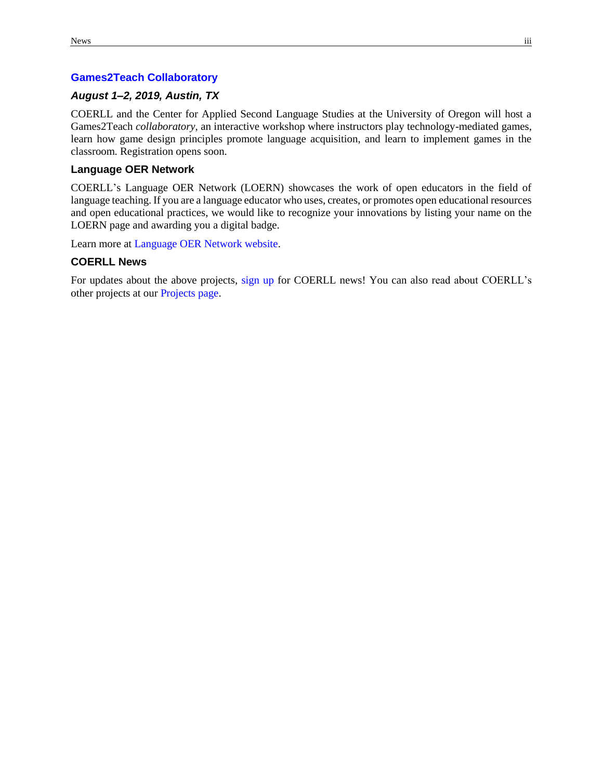#### **[Games2Teach Collaboratory](https://www.coerll.utexas.edu/coerll/projects/games2teach-collaboratory)**

#### *August 1–2, 2019, Austin, TX*

COERLL and the Center for Applied Second Language Studies at the University of Oregon will host a Games2Teach *collaboratory*, an interactive workshop where instructors play technology-mediated games, learn how game design principles promote language acquisition, and learn to implement games in the classroom. Registration opens soon.

#### **Language OER Network**

COERLL's Language OER Network (LOERN) showcases the work of open educators in the field of language teaching. If you are a language educator who uses, creates, or promotes open educational resources and open educational practices, we would like to recognize your innovations by listing your name on the LOERN page and awarding you a digital badge.

Learn more at [Language OER Network website.](http://community.coerll.utexas.edu/)

#### **COERLL News**

For updates about the above projects, [sign up](http://bit.ly/COERLLnews) for COERLL news! You can also read about COERLL's other projects at our [Projects page.](http://www.coerll.utexas.edu/coerll/projects)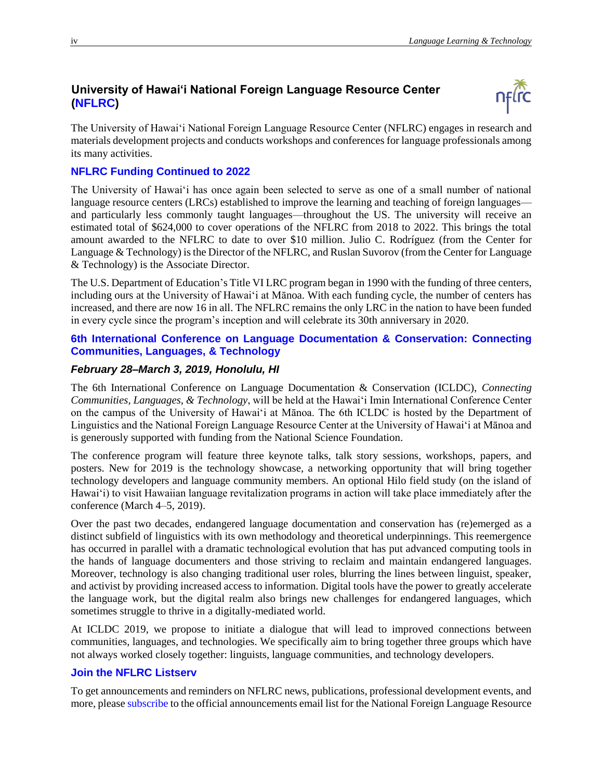## **University of Hawai'i National Foreign Language Resource Center [\(NFLRC\)](http://nflrc.hawaii.edu/)**



The University of Hawai'i National Foreign Language Resource Center (NFLRC) engages in research and materials development projects and conducts workshops and conferences for language professionals among its many activities.

## **[NFLRC Funding Continued to 2022](http://nflrc.hawaii.edu/about/15/)**

The University of Hawai'i has once again been selected to serve as one of a small number of national language resource centers (LRCs) established to improve the learning and teaching of foreign languages and particularly less commonly taught languages—throughout the US. The university will receive an estimated total of \$624,000 to cover operations of the NFLRC from 2018 to 2022. This brings the total amount awarded to the NFLRC to date to over \$10 million. Julio C. Rodríguez (from the Center for Language & Technology) is the Director of the NFLRC, and Ruslan Suvorov (from the Center for Language & Technology) is the Associate Director.

The U.S. Department of Education's Title VI LRC program began in 1990 with the funding of three centers, including ours at the University of Hawai'i at Mānoa. With each funding cycle, the number of centers has increased, and there are now 16 in all. The NFLRC remains the only LRC in the nation to have been funded in every cycle since the program's inception and will celebrate its 30th anniversary in 2020.

### **[6th International Conference on Language Documentation & Conservation: Connecting](http://icldc6.icldc-hawaii.org/)  [Communities, Languages, & Technology](http://icldc6.icldc-hawaii.org/)**

## *February 28–March 3, 2019, Honolulu, HI*

The 6th International Conference on Language Documentation & Conservation (ICLDC), *Connecting Communities, Languages, & Technology*, will be held at the Hawaiʻi Imin International Conference Center on the campus of the University of Hawaiʻi at Mānoa. The 6th ICLDC is hosted by the Department of Linguistics and the National Foreign Language Resource Center at the University of Hawaiʻi at Mānoa and is generously supported with funding from the National Science Foundation.

The conference program will feature three keynote talks, talk story sessions, workshops, papers, and posters. New for 2019 is the technology showcase, a networking opportunity that will bring together technology developers and language community members. An optional Hilo field study (on the island of Hawaiʻi) to visit Hawaiian language revitalization programs in action will take place immediately after the conference (March 4–5, 2019).

Over the past two decades, endangered language documentation and conservation has (re)emerged as a distinct subfield of linguistics with its own methodology and theoretical underpinnings. This reemergence has occurred in parallel with a dramatic technological evolution that has put advanced computing tools in the hands of language documenters and those striving to reclaim and maintain endangered languages. Moreover, technology is also changing traditional user roles, blurring the lines between linguist, speaker, and activist by providing increased access to information. Digital tools have the power to greatly accelerate the language work, but the digital realm also brings new challenges for endangered languages, which sometimes struggle to thrive in a digitally-mediated world.

At ICLDC 2019, we propose to initiate a dialogue that will lead to improved connections between communities, languages, and technologies. We specifically aim to bring together three groups which have not always worked closely together: linguists, language communities, and technology developers.

## **Join the [NFLRC Listserv](https://listserv.hawaii.edu/cgi-bin/wa?SUBED1=nflrc-l&A=1)**

To get announcements and reminders on NFLRC news, publications, professional development events, and more, pleas[e subscribe](https://listserv.hawaii.edu/cgi-bin/wa?SUBED1=nflrc-l&A=1) to the official announcements email list for the National Foreign Language Resource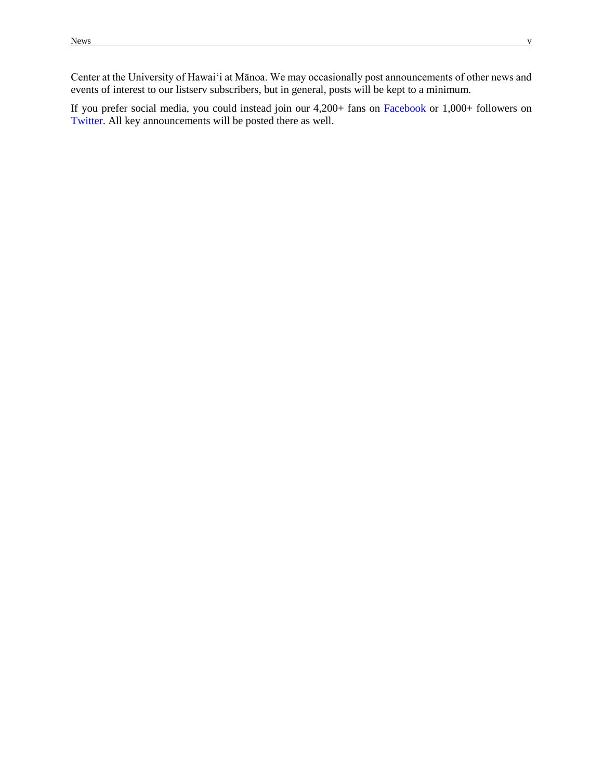Center at the University of Hawai'i at Mānoa. We may occasionally post announcements of other news and events of interest to our listserv subscribers, but in general, posts will be kept to a minimum.

If you prefer social media, you could instead join our 4,200+ fans on [Facebook](http://www.facebook.com/NFLRC/) or 1,000+ followers on [Twitter.](http://twitter.com/NFLRC) All key announcements will be posted there as well.